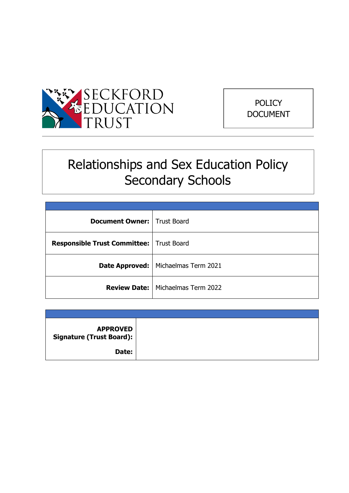



# Relationships and Sex Education Policy Secondary Schools

| <b>Document Owner:</b> Trust Board         |                                            |
|--------------------------------------------|--------------------------------------------|
| Responsible Trust Committee:   Trust Board |                                            |
|                                            | Date Approved:   Michaelmas Term 2021      |
|                                            | <b>Review Date:</b>   Michaelmas Term 2022 |

| <b>APPROVED</b><br><b>Signature (Trust Board):</b> |  |
|----------------------------------------------------|--|
| Date:                                              |  |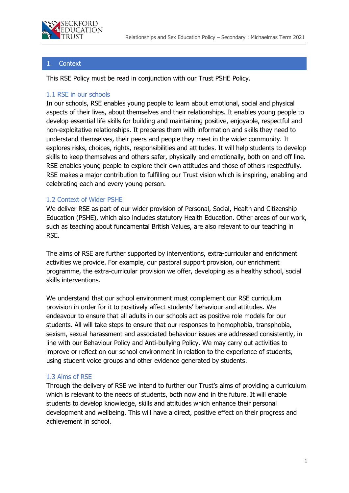

#### **Context**

This RSE Policy must be read in conjunction with our Trust PSHE Policy.

#### 1.1 RSE in our schools

In our schools, RSE enables young people to learn about emotional, social and physical aspects of their lives, about themselves and their relationships. It enables young people to develop essential life skills for building and maintaining positive, enjoyable, respectful and non-exploitative relationships. It prepares them with information and skills they need to understand themselves, their peers and people they meet in the wider community. It explores risks, choices, rights, responsibilities and attitudes. It will help students to develop skills to keep themselves and others safer, physically and emotionally, both on and off line. RSE enables young people to explore their own attitudes and those of others respectfully. RSE makes a major contribution to fulfilling our Trust vision which is inspiring, enabling and celebrating each and every young person.

#### 1.2 Context of Wider PSHE

We deliver RSE as part of our wider provision of Personal, Social, Health and Citizenship Education (PSHE), which also includes statutory Health Education. Other areas of our work, such as teaching about fundamental British Values, are also relevant to our teaching in RSE.

The aims of RSE are further supported by interventions, extra-curricular and enrichment activities we provide. For example, our pastoral support provision, our enrichment programme, the extra-curricular provision we offer, developing as a healthy school, social skills interventions.

We understand that our school environment must complement our RSE curriculum provision in order for it to positively affect students' behaviour and attitudes. We endeavour to ensure that all adults in our schools act as positive role models for our students. All will take steps to ensure that our responses to homophobia, transphobia, sexism, sexual harassment and associated behaviour issues are addressed consistently, in line with our Behaviour Policy and Anti-bullying Policy. We may carry out activities to improve or reflect on our school environment in relation to the experience of students, using student voice groups and other evidence generated by students.

#### 1.3 Aims of RSE

Through the delivery of RSE we intend to further our Trust's aims of providing a curriculum which is relevant to the needs of students, both now and in the future. It will enable students to develop knowledge, skills and attitudes which enhance their personal development and wellbeing. This will have a direct, positive effect on their progress and achievement in school.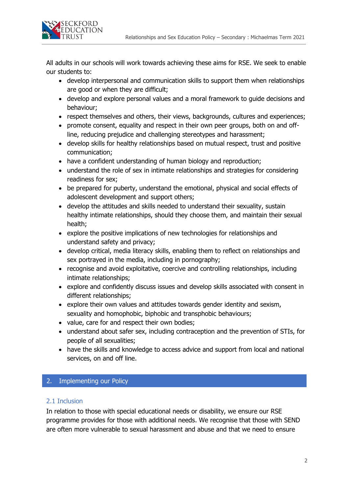

All adults in our schools will work towards achieving these aims for RSE. We seek to enable our students to:

- develop interpersonal and communication skills to support them when relationships are good or when they are difficult;
- develop and explore personal values and a moral framework to guide decisions and behaviour;
- respect themselves and others, their views, backgrounds, cultures and experiences;
- promote consent, equality and respect in their own peer groups, both on and offline, reducing prejudice and challenging stereotypes and harassment;
- develop skills for healthy relationships based on mutual respect, trust and positive communication;
- have a confident understanding of human biology and reproduction;
- understand the role of sex in intimate relationships and strategies for considering readiness for sex;
- be prepared for puberty, understand the emotional, physical and social effects of adolescent development and support others;
- develop the attitudes and skills needed to understand their sexuality, sustain healthy intimate relationships, should they choose them, and maintain their sexual health;
- explore the positive implications of new technologies for relationships and understand safety and privacy;
- develop critical, media literacy skills, enabling them to reflect on relationships and sex portrayed in the media, including in pornography;
- recognise and avoid exploitative, coercive and controlling relationships, including intimate relationships;
- explore and confidently discuss issues and develop skills associated with consent in different relationships;
- explore their own values and attitudes towards gender identity and sexism, sexuality and homophobic, biphobic and transphobic behaviours;
- value, care for and respect their own bodies;
- understand about safer sex, including contraception and the prevention of STIs, for people of all sexualities;
- have the skills and knowledge to access advice and support from local and national services, on and off line.

## 2. Implementing our Policy

#### 2.1 Inclusion

In relation to those with special educational needs or disability, we ensure our RSE programme provides for those with additional needs. We recognise that those with SEND are often more vulnerable to sexual harassment and abuse and that we need to ensure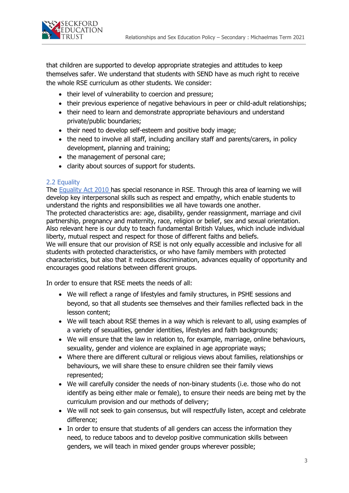

that children are supported to develop appropriate strategies and attitudes to keep themselves safer. We understand that students with SEND have as much right to receive the whole RSE curriculum as other students. We consider:

- their level of vulnerability to coercion and pressure;
- their previous experience of negative behaviours in peer or child-adult relationships;
- their need to learn and demonstrate appropriate behaviours and understand private/public boundaries;
- their need to develop self-esteem and positive body image;
- the need to involve all staff, including ancillary staff and parents/carers, in policy development, planning and training;
- the management of personal care;
- clarity about sources of support for students.

#### 2.2 Equality

The [Equality Act 2010](http://www.legislation.gov.uk/ukpga/2010/15/contents) has special resonance in RSE. Through this area of learning we will develop key interpersonal skills such as respect and empathy, which enable students to understand the rights and responsibilities we all have towards one another. The protected characteristics are: age, disability, gender reassignment, marriage and civil partnership, pregnancy and maternity, race, religion or belief, sex and sexual orientation. Also relevant here is our duty to teach fundamental British Values, which include individual liberty, mutual respect and respect for those of different faiths and beliefs. We will ensure that our provision of RSE is not only equally accessible and inclusive for all students with protected characteristics, or who have family members with protected characteristics, but also that it reduces discrimination, advances equality of opportunity and encourages good relations between different groups.

In order to ensure that RSE meets the needs of all:

- We will reflect a range of lifestyles and family structures, in PSHE sessions and beyond, so that all students see themselves and their families reflected back in the lesson content;
- We will teach about RSE themes in a way which is relevant to all, using examples of a variety of sexualities, gender identities, lifestyles and faith backgrounds;
- We will ensure that the law in relation to, for example, marriage, online behaviours, sexuality, gender and violence are explained in age appropriate ways;
- Where there are different cultural or religious views about families, relationships or behaviours, we will share these to ensure children see their family views represented;
- We will carefully consider the needs of non-binary students (i.e. those who do not identify as being either male or female), to ensure their needs are being met by the curriculum provision and our methods of delivery;
- We will not seek to gain consensus, but will respectfully listen, accept and celebrate difference;
- In order to ensure that students of all genders can access the information they need, to reduce taboos and to develop positive communication skills between genders, we will teach in mixed gender groups wherever possible;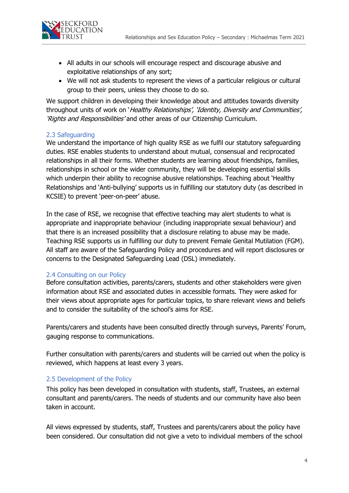

- All adults in our schools will encourage respect and discourage abusive and exploitative relationships of any sort;
- We will not ask students to represent the views of a particular religious or cultural group to their peers, unless they choose to do so.

We support children in developing their knowledge about and attitudes towards diversity throughout units of work on 'Healthy Relationships', 'Identity, Diversity and Communities', 'Rights and Responsibilities' and other areas of our Citizenship Curriculum.

#### 2.3 Safeguarding

We understand the importance of high quality RSE as we fulfil our statutory safeguarding duties. RSE enables students to understand about mutual, consensual and reciprocated relationships in all their forms. Whether students are learning about friendships, families, relationships in school or the wider community, they will be developing essential skills which underpin their ability to recognise abusive relationships. Teaching about 'Healthy Relationships and 'Anti-bullying' supports us in fulfilling our statutory duty (as described in KCSIE) to prevent 'peer-on-peer' abuse.

In the case of RSE, we recognise that effective teaching may alert students to what is appropriate and inappropriate behaviour (including inappropriate sexual behaviour) and that there is an increased possibility that a disclosure relating to abuse may be made. Teaching RSE supports us in fulfilling our duty to prevent Female Genital Mutilation (FGM). All staff are aware of the Safeguarding Policy and procedures and will report disclosures or concerns to the Designated Safeguarding Lead (DSL) immediately.

#### 2.4 Consulting on our Policy

Before consultation activities, parents/carers, students and other stakeholders were given information about RSE and associated duties in accessible formats. They were asked for their views about appropriate ages for particular topics, to share relevant views and beliefs and to consider the suitability of the school's aims for RSE.

Parents/carers and students have been consulted directly through surveys, Parents' Forum, gauging response to communications.

Further consultation with parents/carers and students will be carried out when the policy is reviewed, which happens at least every 3 years.

#### 2.5 Development of the Policy

This policy has been developed in consultation with students, staff, Trustees, an external consultant and parents/carers. The needs of students and our community have also been taken in account.

All views expressed by students, staff, Trustees and parents/carers about the policy have been considered. Our consultation did not give a veto to individual members of the school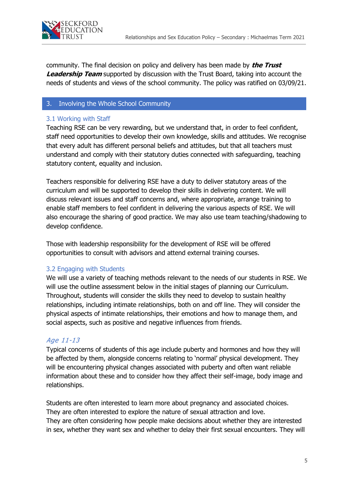

community. The final decision on policy and delivery has been made by **the Trust Leadership Team** supported by discussion with the Trust Board, taking into account the needs of students and views of the school community. The policy was ratified on 03/09/21.

#### 3. Involving the Whole School Community

#### 3.1 Working with Staff

Teaching RSE can be very rewarding, but we understand that, in order to feel confident, staff need opportunities to develop their own knowledge, skills and attitudes. We recognise that every adult has different personal beliefs and attitudes, but that all teachers must understand and comply with their statutory duties connected with safeguarding, teaching statutory content, equality and inclusion.

Teachers responsible for delivering RSE have a duty to deliver statutory areas of the curriculum and will be supported to develop their skills in delivering content. We will discuss relevant issues and staff concerns and, where appropriate, arrange training to enable staff members to feel confident in delivering the various aspects of RSE. We will also encourage the sharing of good practice. We may also use team teaching/shadowing to develop confidence.

Those with leadership responsibility for the development of RSE will be offered opportunities to consult with advisors and attend external training courses.

#### 3.2 Engaging with Students

We will use a variety of teaching methods relevant to the needs of our students in RSE. We will use the outline assessment below in the initial stages of planning our Curriculum. Throughout, students will consider the skills they need to develop to sustain healthy relationships, including intimate relationships, both on and off line. They will consider the physical aspects of intimate relationships, their emotions and how to manage them, and social aspects, such as positive and negative influences from friends.

#### Age 11-13

Typical concerns of students of this age include puberty and hormones and how they will be affected by them, alongside concerns relating to 'normal' physical development. They will be encountering physical changes associated with puberty and often want reliable information about these and to consider how they affect their self-image, body image and relationships.

Students are often interested to learn more about pregnancy and associated choices. They are often interested to explore the nature of sexual attraction and love. They are often considering how people make decisions about whether they are interested in sex, whether they want sex and whether to delay their first sexual encounters. They will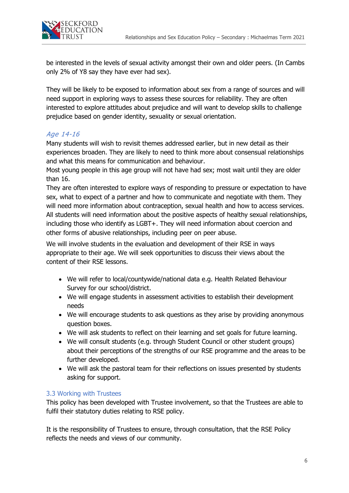

be interested in the levels of sexual activity amongst their own and older peers. (In Cambs only 2% of Y8 say they have ever had sex).

They will be likely to be exposed to information about sex from a range of sources and will need support in exploring ways to assess these sources for reliability. They are often interested to explore attitudes about prejudice and will want to develop skills to challenge prejudice based on gender identity, sexuality or sexual orientation.

## Age 14-16

Many students will wish to revisit themes addressed earlier, but in new detail as their experiences broaden. They are likely to need to think more about consensual relationships and what this means for communication and behaviour.

Most young people in this age group will not have had sex; most wait until they are older than 16.

They are often interested to explore ways of responding to pressure or expectation to have sex, what to expect of a partner and how to communicate and negotiate with them. They will need more information about contraception, sexual health and how to access services. All students will need information about the positive aspects of healthy sexual relationships, including those who identify as LGBT+. They will need information about coercion and other forms of abusive relationships, including peer on peer abuse.

We will involve students in the evaluation and development of their RSE in ways appropriate to their age. We will seek opportunities to discuss their views about the content of their RSE lessons.

- We will refer to local/countywide/national data e.g. Health Related Behaviour Survey for our school/district.
- We will engage students in assessment activities to establish their development needs
- We will encourage students to ask questions as they arise by providing anonymous question boxes.
- We will ask students to reflect on their learning and set goals for future learning.
- We will consult students (e.g. through Student Council or other student groups) about their perceptions of the strengths of our RSE programme and the areas to be further developed.
- We will ask the pastoral team for their reflections on issues presented by students asking for support.

#### 3.3 Working with Trustees

This policy has been developed with Trustee involvement, so that the Trustees are able to fulfil their statutory duties relating to RSE policy.

It is the responsibility of Trustees to ensure, through consultation, that the RSE Policy reflects the needs and views of our community.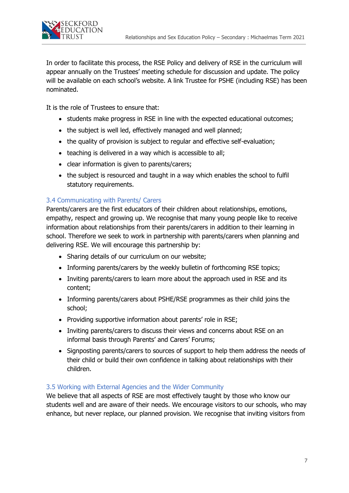

In order to facilitate this process, the RSE Policy and delivery of RSE in the curriculum will appear annually on the Trustees' meeting schedule for discussion and update. The policy will be available on each school's website. A link Trustee for PSHE (including RSE) has been nominated.

It is the role of Trustees to ensure that:

- students make progress in RSE in line with the expected educational outcomes;
- the subject is well led, effectively managed and well planned;
- the quality of provision is subject to regular and effective self-evaluation;
- teaching is delivered in a way which is accessible to all;
- clear information is given to parents/carers;
- the subject is resourced and taught in a way which enables the school to fulfil statutory requirements.

## 3.4 Communicating with Parents/ Carers

Parents/carers are the first educators of their children about relationships, emotions, empathy, respect and growing up. We recognise that many young people like to receive information about relationships from their parents/carers in addition to their learning in school. Therefore we seek to work in partnership with parents/carers when planning and delivering RSE. We will encourage this partnership by:

- Sharing details of our curriculum on our website;
- Informing parents/carers by the weekly bulletin of forthcoming RSE topics;
- Inviting parents/carers to learn more about the approach used in RSE and its content;
- Informing parents/carers about PSHE/RSE programmes as their child joins the school;
- Providing supportive information about parents' role in RSE;
- Inviting parents/carers to discuss their views and concerns about RSE on an informal basis through Parents' and Carers' Forums;
- Signposting parents/carers to sources of support to help them address the needs of their child or build their own confidence in talking about relationships with their children.

#### 3.5 Working with External Agencies and the Wider Community

We believe that all aspects of RSE are most effectively taught by those who know our students well and are aware of their needs. We encourage visitors to our schools, who may enhance, but never replace, our planned provision. We recognise that inviting visitors from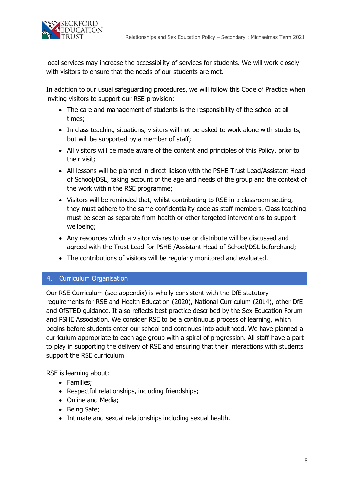

local services may increase the accessibility of services for students. We will work closely with visitors to ensure that the needs of our students are met.

In addition to our usual safeguarding procedures, we will follow this Code of Practice when inviting visitors to support our RSE provision:

- The care and management of students is the responsibility of the school at all times;
- In class teaching situations, visitors will not be asked to work alone with students, but will be supported by a member of staff;
- All visitors will be made aware of the content and principles of this Policy, prior to their visit;
- All lessons will be planned in direct liaison with the PSHE Trust Lead/Assistant Head of School/DSL, taking account of the age and needs of the group and the context of the work within the RSE programme;
- Visitors will be reminded that, whilst contributing to RSE in a classroom setting, they must adhere to the same confidentiality code as staff members. Class teaching must be seen as separate from health or other targeted interventions to support wellbeing;
- Any resources which a visitor wishes to use or distribute will be discussed and agreed with the Trust Lead for PSHE /Assistant Head of School/DSL beforehand;
- The contributions of visitors will be regularly monitored and evaluated.

#### 4. Curriculum Organisation

Our RSE Curriculum (see appendix) is wholly consistent with the DfE statutory requirements for RSE and Health Education (2020), National Curriculum (2014), other DfE and OfSTED guidance. It also reflects best practice described by the Sex Education Forum and PSHE Association. We consider RSE to be a continuous process of learning, which begins before students enter our school and continues into adulthood. We have planned a curriculum appropriate to each age group with a spiral of progression. All staff have a part to play in supporting the delivery of RSE and ensuring that their interactions with students support the RSE curriculum

RSE is learning about:

- Families;
- Respectful relationships, including friendships;
- Online and Media;
- Being Safe;
- Intimate and sexual relationships including sexual health.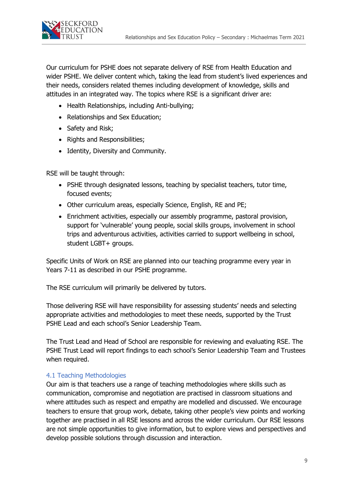

Our curriculum for PSHE does not separate delivery of RSE from Health Education and wider PSHE. We deliver content which, taking the lead from student's lived experiences and their needs, considers related themes including development of knowledge, skills and attitudes in an integrated way. The topics where RSE is a significant driver are:

- Health Relationships, including Anti-bullying;
- Relationships and Sex Education;
- Safety and Risk;
- Rights and Responsibilities;
- Identity, Diversity and Community.

RSE will be taught through:

- PSHE through designated lessons, teaching by specialist teachers, tutor time, focused events;
- Other curriculum areas, especially Science, English, RE and PE;
- Enrichment activities, especially our assembly programme, pastoral provision, support for 'vulnerable' young people, social skills groups, involvement in school trips and adventurous activities, activities carried to support wellbeing in school, student LGBT+ groups.

Specific Units of Work on RSE are planned into our teaching programme every year in Years 7-11 as described in our PSHE programme.

The RSE curriculum will primarily be delivered by tutors.

Those delivering RSE will have responsibility for assessing students' needs and selecting appropriate activities and methodologies to meet these needs, supported by the Trust PSHE Lead and each school's Senior Leadership Team.

The Trust Lead and Head of School are responsible for reviewing and evaluating RSE. The PSHE Trust Lead will report findings to each school's Senior Leadership Team and Trustees when required.

#### 4.1 Teaching Methodologies

Our aim is that teachers use a range of teaching methodologies where skills such as communication, compromise and negotiation are practised in classroom situations and where attitudes such as respect and empathy are modelled and discussed. We encourage teachers to ensure that group work, debate, taking other people's view points and working together are practised in all RSE lessons and across the wider curriculum. Our RSE lessons are not simple opportunities to give information, but to explore views and perspectives and develop possible solutions through discussion and interaction.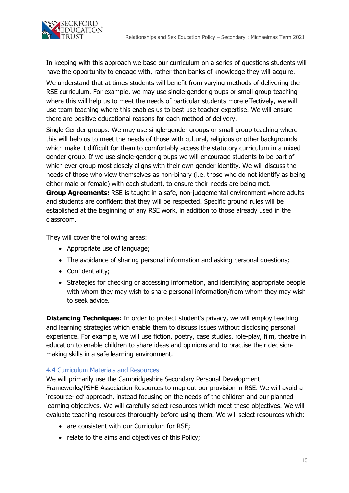

In keeping with this approach we base our curriculum on a series of questions students will have the opportunity to engage with, rather than banks of knowledge they will acquire.

We understand that at times students will benefit from varying methods of delivering the RSE curriculum. For example, we may use single-gender groups or small group teaching where this will help us to meet the needs of particular students more effectively, we will use team teaching where this enables us to best use teacher expertise. We will ensure there are positive educational reasons for each method of delivery.

Single Gender groups: We may use single-gender groups or small group teaching where this will help us to meet the needs of those with cultural, religious or other backgrounds which make it difficult for them to comfortably access the statutory curriculum in a mixed gender group. If we use single-gender groups we will encourage students to be part of which ever group most closely aligns with their own gender identity. We will discuss the needs of those who view themselves as non-binary (i.e. those who do not identify as being either male or female) with each student, to ensure their needs are being met. **Group Agreements:** RSE is taught in a safe, non-judgemental environment where adults and students are confident that they will be respected. Specific ground rules will be established at the beginning of any RSE work, in addition to those already used in the classroom.

They will cover the following areas:

- Appropriate use of language;
- The avoidance of sharing personal information and asking personal questions;
- Confidentiality;
- Strategies for checking or accessing information, and identifying appropriate people with whom they may wish to share personal information/from whom they may wish to seek advice.

**Distancing Techniques:** In order to protect student's privacy, we will employ teaching and learning strategies which enable them to discuss issues without disclosing personal experience. For example, we will use fiction, poetry, case studies, role-play, film, theatre in education to enable children to share ideas and opinions and to practise their decisionmaking skills in a safe learning environment.

#### 4.4 Curriculum Materials and Resources

We will primarily use the Cambridgeshire Secondary Personal Development Frameworks/PSHE Association Resources to map out our provision in RSE. We will avoid a 'resource-led' approach, instead focusing on the needs of the children and our planned learning objectives. We will carefully select resources which meet these objectives. We will evaluate teaching resources thoroughly before using them. We will select resources which:

- are consistent with our Curriculum for RSE;
- relate to the aims and objectives of this Policy;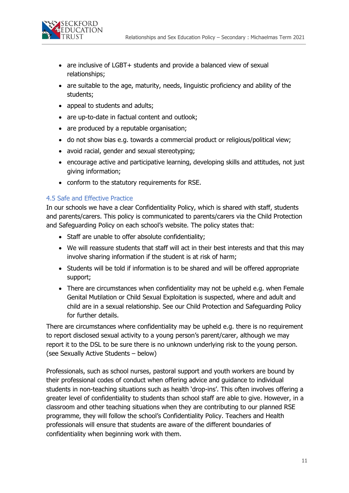

- are inclusive of LGBT+ students and provide a balanced view of sexual relationships;
- are suitable to the age, maturity, needs, linguistic proficiency and ability of the students;
- appeal to students and adults;
- are up-to-date in factual content and outlook;
- are produced by a reputable organisation;
- do not show bias e.g. towards a commercial product or religious/political view;
- avoid racial, gender and sexual stereotyping;
- encourage active and participative learning, developing skills and attitudes, not just giving information;
- conform to the statutory requirements for RSE.

#### 4.5 Safe and Effective Practice

In our schools we have a clear Confidentiality Policy, which is shared with staff, students and parents/carers. This policy is communicated to parents/carers via the Child Protection and Safeguarding Policy on each school's website. The policy states that:

- Staff are unable to offer absolute confidentiality;
- We will reassure students that staff will act in their best interests and that this may involve sharing information if the student is at risk of harm;
- Students will be told if information is to be shared and will be offered appropriate support;
- There are circumstances when confidentiality may not be upheld e.g. when Female Genital Mutilation or Child Sexual Exploitation is suspected, where and adult and child are in a sexual relationship. See our Child Protection and Safeguarding Policy for further details.

There are circumstances where confidentiality may be upheld e.g. there is no requirement to report disclosed sexual activity to a young person's parent/carer, although we may report it to the DSL to be sure there is no unknown underlying risk to the young person. (see Sexually Active Students – below)

Professionals, such as school nurses, pastoral support and youth workers are bound by their professional codes of conduct when offering advice and guidance to individual students in non-teaching situations such as health 'drop-ins'. This often involves offering a greater level of confidentiality to students than school staff are able to give. However, in a classroom and other teaching situations when they are contributing to our planned RSE programme, they will follow the school's Confidentiality Policy. Teachers and Health professionals will ensure that students are aware of the different boundaries of confidentiality when beginning work with them.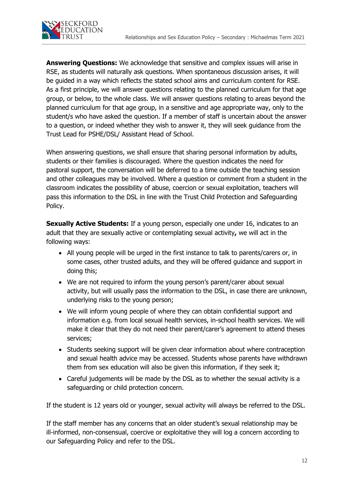

**Answering Questions:** We acknowledge that sensitive and complex issues will arise in RSE, as students will naturally ask questions. When spontaneous discussion arises, it will be guided in a way which reflects the stated school aims and curriculum content for RSE. As a first principle, we will answer questions relating to the planned curriculum for that age group, or below, to the whole class. We will answer questions relating to areas beyond the planned curriculum for that age group, in a sensitive and age appropriate way, only to the student/s who have asked the question. If a member of staff is uncertain about the answer to a question, or indeed whether they wish to answer it, they will seek guidance from the Trust Lead for PSHE/DSL/ Assistant Head of School.

When answering questions, we shall ensure that sharing personal information by adults, students or their families is discouraged. Where the question indicates the need for pastoral support, the conversation will be deferred to a time outside the teaching session and other colleagues may be involved. Where a question or comment from a student in the classroom indicates the possibility of abuse, coercion or sexual exploitation, teachers will pass this information to the DSL in line with the Trust Child Protection and Safeguarding Policy.

**Sexually Active Students:** If a young person, especially one under 16, indicates to an adult that they are sexually active or contemplating sexual activity**,** we will act in the following ways:

- All young people will be urged in the first instance to talk to parents/carers or, in some cases, other trusted adults, and they will be offered guidance and support in doing this;
- We are not required to inform the young person's parent/carer about sexual activity, but will usually pass the information to the DSL, in case there are unknown, underlying risks to the young person;
- We will inform young people of where they can obtain confidential support and information e.g. from local sexual health services, in-school health services. We will make it clear that they do not need their parent/carer's agreement to attend theses services;
- Students seeking support will be given clear information about where contraception and sexual health advice may be accessed. Students whose parents have withdrawn them from sex education will also be given this information, if they seek it;
- Careful judgements will be made by the DSL as to whether the sexual activity is a safeguarding or child protection concern.

If the student is 12 years old or younger, sexual activity will always be referred to the DSL.

If the staff member has any concerns that an older student's sexual relationship may be ill-informed, non-consensual, coercive or exploitative they will log a concern according to our Safeguarding Policy and refer to the DSL.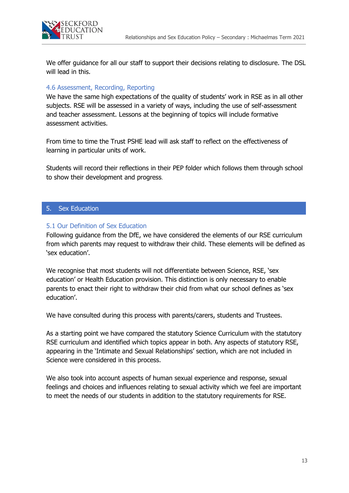

We offer guidance for all our staff to support their decisions relating to disclosure. The DSL will lead in this.

#### 4.6 Assessment, Recording, Reporting

We have the same high expectations of the quality of students' work in RSE as in all other subjects. RSE will be assessed in a variety of ways, including the use of self-assessment and teacher assessment. Lessons at the beginning of topics will include formative assessment activities.

From time to time the Trust PSHE lead will ask staff to reflect on the effectiveness of learning in particular units of work.

Students will record their reflections in their PEP folder which follows them through school to show their development and progress.

#### 5. Sex Education

#### 5.1 Our Definition of Sex Education

Following guidance from the DfE, we have considered the elements of our RSE curriculum from which parents may request to withdraw their child. These elements will be defined as 'sex education'.

We recognise that most students will not differentiate between Science, RSE, 'sex education' or Health Education provision. This distinction is only necessary to enable parents to enact their right to withdraw their chid from what our school defines as 'sex education'.

We have consulted during this process with parents/carers, students and Trustees.

As a starting point we have compared the statutory Science Curriculum with the statutory RSE curriculum and identified which topics appear in both. Any aspects of statutory RSE, appearing in the 'Intimate and Sexual Relationships' section, which are not included in Science were considered in this process.

We also took into account aspects of human sexual experience and response, sexual feelings and choices and influences relating to sexual activity which we feel are important to meet the needs of our students in addition to the statutory requirements for RSE.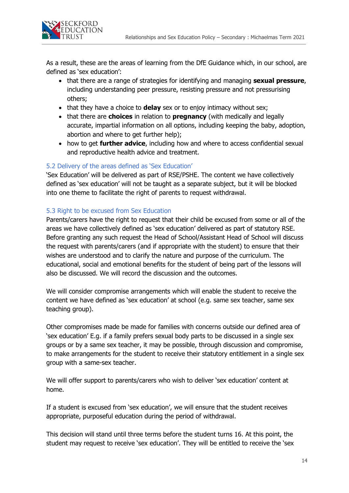

As a result, these are the areas of learning from the DfE Guidance which, in our school, are defined as 'sex education':

- that there are a range of strategies for identifying and managing **sexual pressure**, including understanding peer pressure, resisting pressure and not pressurising others;
- that they have a choice to **delay** sex or to enjoy intimacy without sex;
- that there are **choices** in relation to **pregnancy** (with medically and legally accurate, impartial information on all options, including keeping the baby, adoption, abortion and where to get further help);
- how to get **further advice**, including how and where to access confidential sexual and reproductive health advice and treatment.

## 5.2 Delivery of the areas defined as 'Sex Education'

'Sex Education' will be delivered as part of RSE/PSHE. The content we have collectively defined as 'sex education' will not be taught as a separate subject, but it will be blocked into one theme to facilitate the right of parents to request withdrawal.

## 5.3 Right to be excused from Sex Education

Parents/carers have the right to request that their child be excused from some or all of the areas we have collectively defined as 'sex education' delivered as part of statutory RSE. Before granting any such request the Head of School/Assistant Head of School will discuss the request with parents/carers (and if appropriate with the student) to ensure that their wishes are understood and to clarify the nature and purpose of the curriculum. The educational, social and emotional benefits for the student of being part of the lessons will also be discussed. We will record the discussion and the outcomes.

We will consider compromise arrangements which will enable the student to receive the content we have defined as 'sex education' at school (e.g. same sex teacher, same sex teaching group).

Other compromises made be made for families with concerns outside our defined area of 'sex education' E.g. if a family prefers sexual body parts to be discussed in a single sex groups or by a same sex teacher, it may be possible, through discussion and compromise, to make arrangements for the student to receive their statutory entitlement in a single sex group with a same-sex teacher.

We will offer support to parents/carers who wish to deliver 'sex education' content at home.

If a student is excused from 'sex education', we will ensure that the student receives appropriate, purposeful education during the period of withdrawal.

This decision will stand until three terms before the student turns 16. At this point, the student may request to receive 'sex education'. They will be entitled to receive the 'sex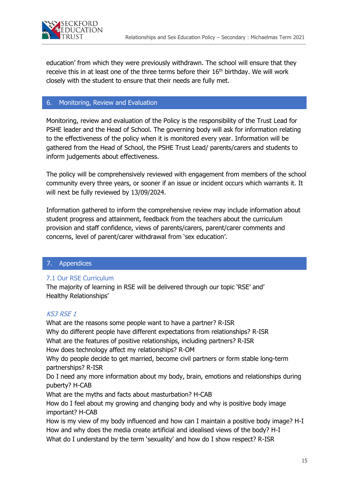

education' from which they were previously withdrawn. The school will ensure that they receive this in at least one of the three terms before their 16<sup>th</sup> birthday. We will work closely with the student to ensure that their needs are fully met.

## 6. Monitoring, Review and Evaluation

Monitoring, review and evaluation of the Policy is the responsibility of the Trust Lead for PSHE leader and the Head of School. The governing body will ask for information relating to the effectiveness of the policy when it is monitored every year. Information will be gathered from the Head of School, the PSHE Trust Lead/ parents/carers and students to inform judgements about effectiveness.

The policy will be comprehensively reviewed with engagement from members of the school community every three years, or sooner if an issue or incident occurs which warrants it. It will next be fully reviewed by 13/09/2024.

Information gathered to inform the comprehensive review may include information about student progress and attainment, feedback from the teachers about the curriculum provision and staff confidence, views of parents/carers, parent/carer comments and concerns, level of parent/carer withdrawal from 'sex education'.

## 7. Appendices

## 7.1 Our RSE Curriculum

The majority of learning in RSE will be delivered through our topic 'RSE' and' Healthy Relationships'

#### KS3 RSE 1

What are the reasons some people want to have a partner? R-ISR Why do different people have different expectations from relationships? R-ISR What are the features of positive relationships, including partners? R-ISR How does technology affect my relationships? R-OM Why do people decide to get married, become civil partners or form stable long-term partnerships? R-ISR Do I need any more information about my body, brain, emotions and relationships during puberty? H-CAB What are the myths and facts about masturbation? H-CAB How do I feel about my growing and changing body and why is positive body image important? H-CAB How is my view of my body influenced and how can I maintain a positive body image? H-I How and why does the media create artificial and idealised views of the body? H-I

What do I understand by the term 'sexuality' and how do I show respect? R-ISR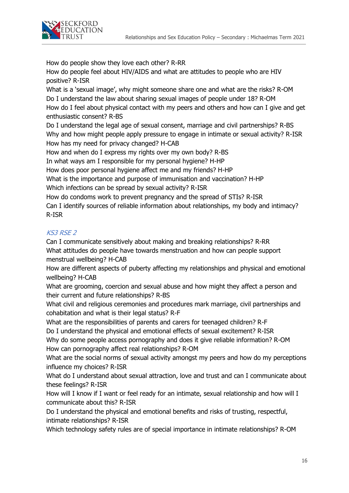

How do people show they love each other? R-RR

How do people feel about HIV/AIDS and what are attitudes to people who are HIV positive? R-ISR

What is a 'sexual image', why might someone share one and what are the risks? R-OM Do I understand the law about sharing sexual images of people under 18? R-OM How do I feel about physical contact with my peers and others and how can I give and get enthusiastic consent? R-BS

Do I understand the legal age of sexual consent, marriage and civil partnerships? R-BS Why and how might people apply pressure to engage in intimate or sexual activity? R-ISR How has my need for privacy changed? H-CAB

How and when do I express my rights over my own body? R-BS

In what ways am I responsible for my personal hygiene? H-HP

How does poor personal hygiene affect me and my friends? H-HP

What is the importance and purpose of immunisation and vaccination? H-HP

Which infections can be spread by sexual activity? R-ISR

How do condoms work to prevent pregnancy and the spread of STIs? R-ISR Can I identify sources of reliable information about relationships, my body and intimacy? R-ISR

## KS3 RSE 2

Can I communicate sensitively about making and breaking relationships? R-RR What attitudes do people have towards menstruation and how can people support menstrual wellbeing? H-CAB

How are different aspects of puberty affecting my relationships and physical and emotional wellbeing? H-CAB

What are grooming, coercion and sexual abuse and how might they affect a person and their current and future relationships? R-BS

What civil and religious ceremonies and procedures mark marriage, civil partnerships and cohabitation and what is their legal status? R-F

What are the responsibilities of parents and carers for teenaged children? R-F

Do I understand the physical and emotional effects of sexual excitement? R-ISR

Why do some people access pornography and does it give reliable information? R-OM How can pornography affect real relationships? R-OM

What are the social norms of sexual activity amongst my peers and how do my perceptions influence my choices? R-ISR

What do I understand about sexual attraction, love and trust and can I communicate about these feelings? R-ISR

How will I know if I want or feel ready for an intimate, sexual relationship and how will I communicate about this? R-ISR

Do I understand the physical and emotional benefits and risks of trusting, respectful, intimate relationships? R-ISR

Which technology safety rules are of special importance in intimate relationships? R-OM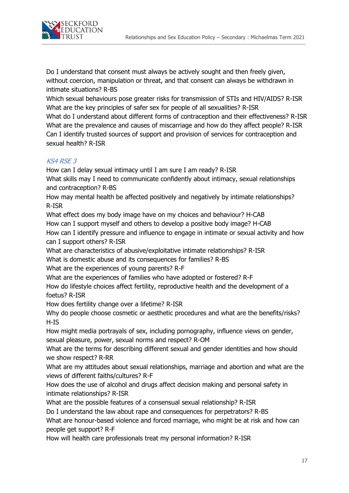

Do I understand that consent must always be actively sought and then freely given, without coercion, manipulation or threat, and that consent can always be withdrawn in intimate situations? R-BS

Which sexual behaviours pose greater risks for transmission of STIs and HIV/AIDS? R-ISR What are the key principles of safer sex for people of all sexualities? R-ISR

What do I understand about different forms of contraception and their effectiveness? R-ISR What are the prevalence and causes of miscarriage and how do they affect people? R-ISR Can I identify trusted sources of support and provision of services for contraception and sexual health? R-ISR

# KS4 RSE 3

How can I delay sexual intimacy until I am sure I am ready? R-ISR

What skills may I need to communicate confidently about intimacy, sexual relationships and contraception? R-BS

How may mental health be affected positively and negatively by intimate relationships? R-ISR

What effect does my body image have on my choices and behaviour? H-CAB How can I support myself and others to develop a positive body image? H-CAB How can I identify pressure and influence to engage in intimate or sexual activity and how can I support others? R-ISR

What are characteristics of abusive/exploitative intimate relationships? R-ISR

What is domestic abuse and its consequences for families? R-BS

What are the experiences of young parents? R-F

What are the experiences of families who have adopted or fostered? R-F

How do lifestyle choices affect fertility, reproductive health and the development of a foetus? R-ISR

How does fertility change over a lifetime? R-ISR

Why do people choose cosmetic or aesthetic procedures and what are the benefits/risks? H-IS

How might media portrayals of sex, including pornography, influence views on gender, sexual pleasure, power, sexual norms and respect? R-OM

What are the terms for describing different sexual and gender identities and how should we show respect? R-RR

What are my attitudes about sexual relationships, marriage and abortion and what are the views of different faiths/cultures? R-F

How does the use of alcohol and drugs affect decision making and personal safety in intimate relationships? R-ISR

What are the possible features of a consensual sexual relationship? R-ISR

Do I understand the law about rape and consequences for perpetrators? R-BS

What are honour-based violence and forced marriage, who might be at risk and how can people get support? R-F

How will health care professionals treat my personal information? R-ISR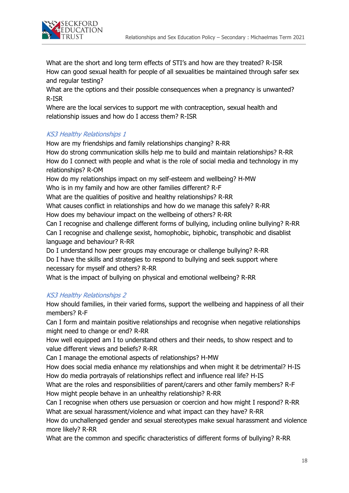

What are the short and long term effects of STI's and how are they treated? R-ISR How can good sexual health for people of all sexualities be maintained through safer sex and regular testing?

What are the options and their possible consequences when a pregnancy is unwanted? R-ISR

Where are the local services to support me with contraception, sexual health and relationship issues and how do I access them? R-ISR

## KS3 Healthy Relationships 1

How are my friendships and family relationships changing? R-RR How do strong communication skills help me to build and maintain relationships? R-RR How do I connect with people and what is the role of social media and technology in my relationships? R-OM

How do my relationships impact on my self-esteem and wellbeing? H-MW Who is in my family and how are other families different? R-F

What are the qualities of positive and healthy relationships? R-RR

What causes conflict in relationships and how do we manage this safely? R-RR

How does my behaviour impact on the wellbeing of others? R-RR

Can I recognise and challenge different forms of bullying, including online bullying? R-RR Can I recognise and challenge sexist, homophobic, biphobic, transphobic and disablist language and behaviour? R-RR

Do I understand how peer groups may encourage or challenge bullying? R-RR Do I have the skills and strategies to respond to bullying and seek support where necessary for myself and others? R-RR

What is the impact of bullying on physical and emotional wellbeing? R-RR

# KS3 Healthy Relationships 2

How should families, in their varied forms, support the wellbeing and happiness of all their members? R-F

Can I form and maintain positive relationships and recognise when negative relationships might need to change or end? R-RR

How well equipped am I to understand others and their needs, to show respect and to value different views and beliefs? R-RR

Can I manage the emotional aspects of relationships? H-MW

How does social media enhance my relationships and when might it be detrimental? H-IS How do media portrayals of relationships reflect and influence real life? H-IS

What are the roles and responsibilities of parent/carers and other family members? R-F How might people behave in an unhealthy relationship? R-RR

Can I recognise when others use persuasion or coercion and how might I respond? R-RR What are sexual harassment/violence and what impact can they have? R-RR

How do unchallenged gender and sexual stereotypes make sexual harassment and violence more likely? R-RR

What are the common and specific characteristics of different forms of bullying? R-RR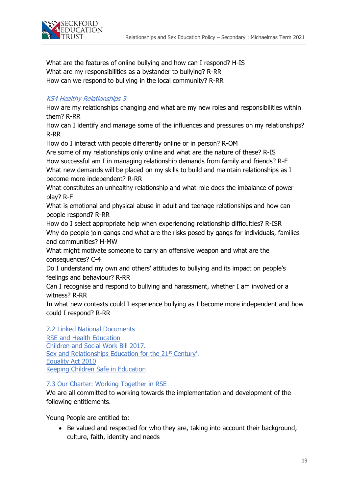

What are the features of online bullying and how can I respond? H-IS What are my responsibilities as a bystander to bullying? R-RR How can we respond to bullying in the local community? R-RR

## KS4 Healthy Relationships 3

How are my relationships changing and what are my new roles and responsibilities within them? R-RR

How can I identify and manage some of the influences and pressures on my relationships? R-RR

How do I interact with people differently online or in person? R-OM

Are some of my relationships only online and what are the nature of these? R-IS How successful am I in managing relationship demands from family and friends? R-F What new demands will be placed on my skills to build and maintain relationships as I become more independent? R-RR

What constitutes an unhealthy relationship and what role does the imbalance of power play? R-F

What is emotional and physical abuse in adult and teenage relationships and how can people respond? R-RR

How do I select appropriate help when experiencing relationship difficulties? R-ISR Why do people join gangs and what are the risks posed by gangs for individuals, families and communities? H-MW

What might motivate someone to carry an offensive weapon and what are the consequences? C-4

Do I understand my own and others' attitudes to bullying and its impact on people's feelings and behaviour? R-RR

Can I recognise and respond to bullying and harassment, whether I am involved or a witness? R-RR

In what new contexts could I experience bullying as I become more independent and how could I respond? R-RR

7.2 Linked National Documents **[RSE and Health Education](https://assets.publishing.service.gov.uk/government/uploads/system/uploads/attachment_data/file/805781/Relationships_Education__Relationships_and_Sex_Education__RSE__and_Health_Education.pdf)** [Children and Social Work Bill 2017.](http://www.legislation.gov.uk/ukpga/2017/16/section/34/enacted) [Sex and Relationships Education for the 21](http://www.sexeducationforum.org.uk/media/17706/sreadvice.pdf)<sup>st</sup> Century'. [Equality Act 2010](http://www.legislation.gov.uk/ukpga/2010/15/contents) [Keeping Children Safe in Education](https://assets.publishing.service.gov.uk/government/uploads/system/uploads/attachment_data/file/835733/Keeping_children_safe_in_education_2019.pdf)

#### 7.3 Our Charter: Working Together in RSE

We are all committed to working towards the implementation and development of the following entitlements.

Young People are entitled to:

• Be valued and respected for who they are, taking into account their background, culture, faith, identity and needs